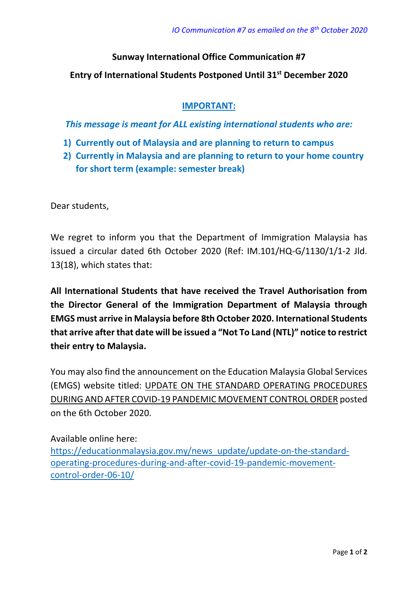## **Sunway International Office Communication #7**

**Entry of International Students Postponed Until 31st December 2020**

## **IMPORTANT:**

*This message is meant for ALL existing international students who are:*

- **1) Currently out of Malaysia and are planning to return to campus**
- **2) Currently in Malaysia and are planning to return to your home country for short term (example: semester break)**

Dear students,

We regret to inform you that the Department of Immigration Malaysia has issued a circular dated 6th October 2020 (Ref: IM.101/HQ-G/1130/1/1-2 Jld. 13(18), which states that:

**All International Students that have received the Travel Authorisation from the Director General of the Immigration Department of Malaysia through EMGS must arrive in Malaysia before 8th October 2020. International Students that arrive after that date will be issued a "Not To Land (NTL)" notice to restrict their entry to Malaysia.**

You may also find the announcement on the Education Malaysia Global Services (EMGS) website titled: UPDATE ON THE STANDARD OPERATING PROCEDURES DURING AND AFTER COVID-19 PANDEMIC MOVEMENT CONTROL ORDER posted on the 6th October 2020.

Available online here: [https://educationmalaysia.gov.my/news\\_update/update-on-the-standard](https://educationmalaysia.gov.my/news_update/update-on-the-standard-operating-procedures-during-and-after-covid-19-pandemic-movement-control-order-06-10/)[operating-procedures-during-and-after-covid-19-pandemic-movement](https://educationmalaysia.gov.my/news_update/update-on-the-standard-operating-procedures-during-and-after-covid-19-pandemic-movement-control-order-06-10/)[control-order-06-10/](https://educationmalaysia.gov.my/news_update/update-on-the-standard-operating-procedures-during-and-after-covid-19-pandemic-movement-control-order-06-10/)